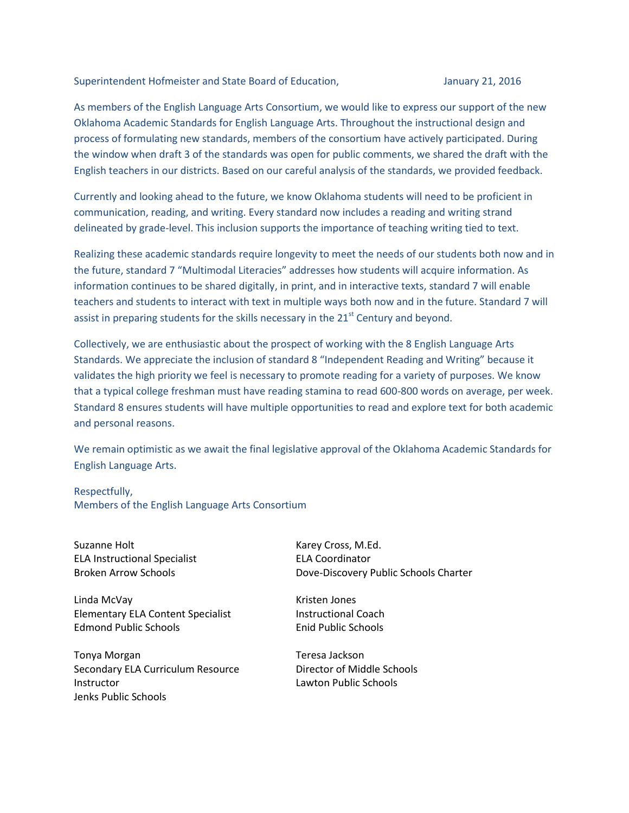Superintendent Hofmeister and State Board of Education, Superintendent Hofmeister and State Board of Education,

As members of the English Language Arts Consortium, we would like to express our support of the new Oklahoma Academic Standards for English Language Arts. Throughout the instructional design and process of formulating new standards, members of the consortium have actively participated. During the window when draft 3 of the standards was open for public comments, we shared the draft with the English teachers in our districts. Based on our careful analysis of the standards, we provided feedback.

Currently and looking ahead to the future, we know Oklahoma students will need to be proficient in communication, reading, and writing. Every standard now includes a reading and writing strand delineated by grade-level. This inclusion supports the importance of teaching writing tied to text.

Realizing these academic standards require longevity to meet the needs of our students both now and in the future, standard 7 "Multimodal Literacies" addresses how students will acquire information. As information continues to be shared digitally, in print, and in interactive texts, standard 7 will enable teachers and students to interact with text in multiple ways both now and in the future. Standard 7 will assist in preparing students for the skills necessary in the  $21<sup>st</sup>$  Century and beyond.

Collectively, we are enthusiastic about the prospect of working with the 8 English Language Arts Standards. We appreciate the inclusion of standard 8 "Independent Reading and Writing" because it validates the high priority we feel is necessary to promote reading for a variety of purposes. We know that a typical college freshman must have reading stamina to read 600-800 words on average, per week. Standard 8 ensures students will have multiple opportunities to read and explore text for both academic and personal reasons.

We remain optimistic as we await the final legislative approval of the Oklahoma Academic Standards for English Language Arts.

## Respectfully,

Members of the English Language Arts Consortium

Suzanne Holt **Karey Cross, M.Ed.** Karey Cross, M.Ed. ELA Instructional Specialist ELA Coordinator

Linda McVay **Kristen Jones** Kristen Jones Elementary ELA Content Specialist Instructional Coach Edmond Public Schools Enid Public Schools

Tonya Morgan Teresa Jackson Secondary ELA Curriculum Resource **Director of Middle Schools** Instructor Lawton Public Schools Jenks Public Schools

Broken Arrow Schools Dove-Discovery Public Schools Charter